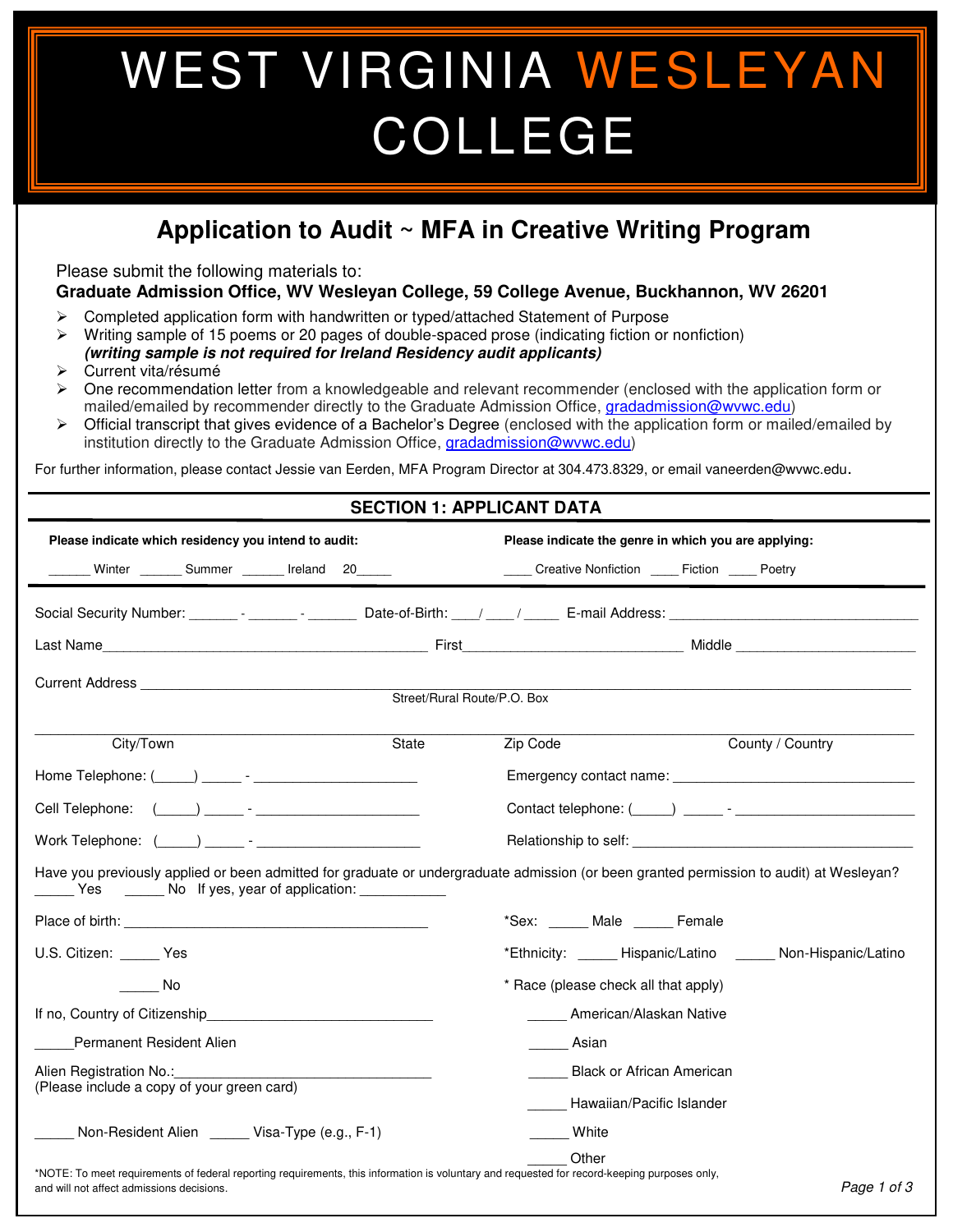## WEST VIRGINIA WESLEYAN COLLEGE

## **Application to Audit ~ MFA in Creative Writing Program**

Please submit the following materials to:

֦

**Graduate Admission Office, WV Wesleyan College, 59 College Avenue, Buckhannon, WV 26201** 

- ➢ Completed application form with handwritten or typed/attached Statement of Purpose
- ➢ Writing sample of 15 poems or 20 pages of double-spaced prose (indicating fiction or nonfiction)
- **(writing sample is not required for Ireland Residency audit applicants)**  ➢ Current vita/résumé
- ➢ One recommendation letter from a knowledgeable and relevant recommender (enclosed with the application form or mailed/emailed by recommender directly to the Graduate Admission Office, [gradadmission@wvwc.edu\)](mailto:gradadmission@wvwc.edu)
- ➢ Official transcript that gives evidence of a Bachelor's Degree (enclosed with the application form or mailed/emailed by institution directly to the Graduate Admission Office, [gradadmission@wvwc.edu\)](mailto:gradadmission@wvwc.edu)

For further information, please contact Jessie van Eerden, MFA Program Director at 304.473.8329, or email vaneerden@wvwc.edu.

## **SECTION 1: APPLICANT DATA**

| Please indicate which residency you intend to audit:                                                                                                                                                                           |                             | Please indicate the genre in which you are applying: |                                                                                                                                                                                                                                      |  |  |
|--------------------------------------------------------------------------------------------------------------------------------------------------------------------------------------------------------------------------------|-----------------------------|------------------------------------------------------|--------------------------------------------------------------------------------------------------------------------------------------------------------------------------------------------------------------------------------------|--|--|
| Winter ________ Summer ________ Ireland 20______                                                                                                                                                                               |                             | _____ Creative Nonfiction _____ Fiction _____ Poetry |                                                                                                                                                                                                                                      |  |  |
|                                                                                                                                                                                                                                |                             |                                                      |                                                                                                                                                                                                                                      |  |  |
|                                                                                                                                                                                                                                |                             |                                                      |                                                                                                                                                                                                                                      |  |  |
|                                                                                                                                                                                                                                | Street/Rural Route/P.O. Box |                                                      |                                                                                                                                                                                                                                      |  |  |
| City/Town                                                                                                                                                                                                                      | State                       | Zip Code                                             | County / Country                                                                                                                                                                                                                     |  |  |
| Home Telephone: (Company of The Telephone: (Company of Telephone: Company of Telephone Company of Telephone Co                                                                                                                 |                             |                                                      |                                                                                                                                                                                                                                      |  |  |
|                                                                                                                                                                                                                                |                             |                                                      |                                                                                                                                                                                                                                      |  |  |
| Work Telephone: ( ) and the set of the set of the set of the set of the set of the set of the set of the set of the set of the set of the set of the set of the set of the set of the set of the set of the set of the set of  |                             |                                                      | Relationship to self: <u>contract the contract of the contract of the contract of the contract of the contract of the contract of the contract of the contract of the contract of the contract of the contract of the contract o</u> |  |  |
| Have you previously applied or been admitted for graduate or undergraduate admission (or been granted permission to audit) at Wesleyan?<br>Yes _______ No If yes, year of application: ____________                            |                             |                                                      |                                                                                                                                                                                                                                      |  |  |
| Place of birth: the contract of the contract of the contract of the contract of the contract of the contract of the contract of the contract of the contract of the contract of the contract of the contract of the contract o |                             | *Sex: Male Female                                    |                                                                                                                                                                                                                                      |  |  |
| U.S. Citizen: Yes                                                                                                                                                                                                              |                             |                                                      | *Ethnicity: _____ Hispanic/Latino _____ Non-Hispanic/Latino                                                                                                                                                                          |  |  |
| a No                                                                                                                                                                                                                           |                             | * Race (please check all that apply)                 |                                                                                                                                                                                                                                      |  |  |
| If no, Country of Citizenship <b>Example 20</b>                                                                                                                                                                                |                             | American/Alaskan Native                              |                                                                                                                                                                                                                                      |  |  |
| <b>Permanent Resident Alien</b>                                                                                                                                                                                                |                             | Asian                                                |                                                                                                                                                                                                                                      |  |  |
| Alien Registration No.:                                                                                                                                                                                                        |                             | <b>Black or African American</b>                     |                                                                                                                                                                                                                                      |  |  |
| (Please include a copy of your green card)                                                                                                                                                                                     |                             | Hawaiian/Pacific Islander                            |                                                                                                                                                                                                                                      |  |  |
| Non-Resident Alien ______ Visa-Type (e.g., F-1)                                                                                                                                                                                |                             | White                                                |                                                                                                                                                                                                                                      |  |  |
| *NOTE: To meet requirements of federal reporting requirements, this information is voluntary and requested for record-keeping purposes only,<br>and will not affect admissions decisions.                                      |                             | Other                                                | Page 1 of 3                                                                                                                                                                                                                          |  |  |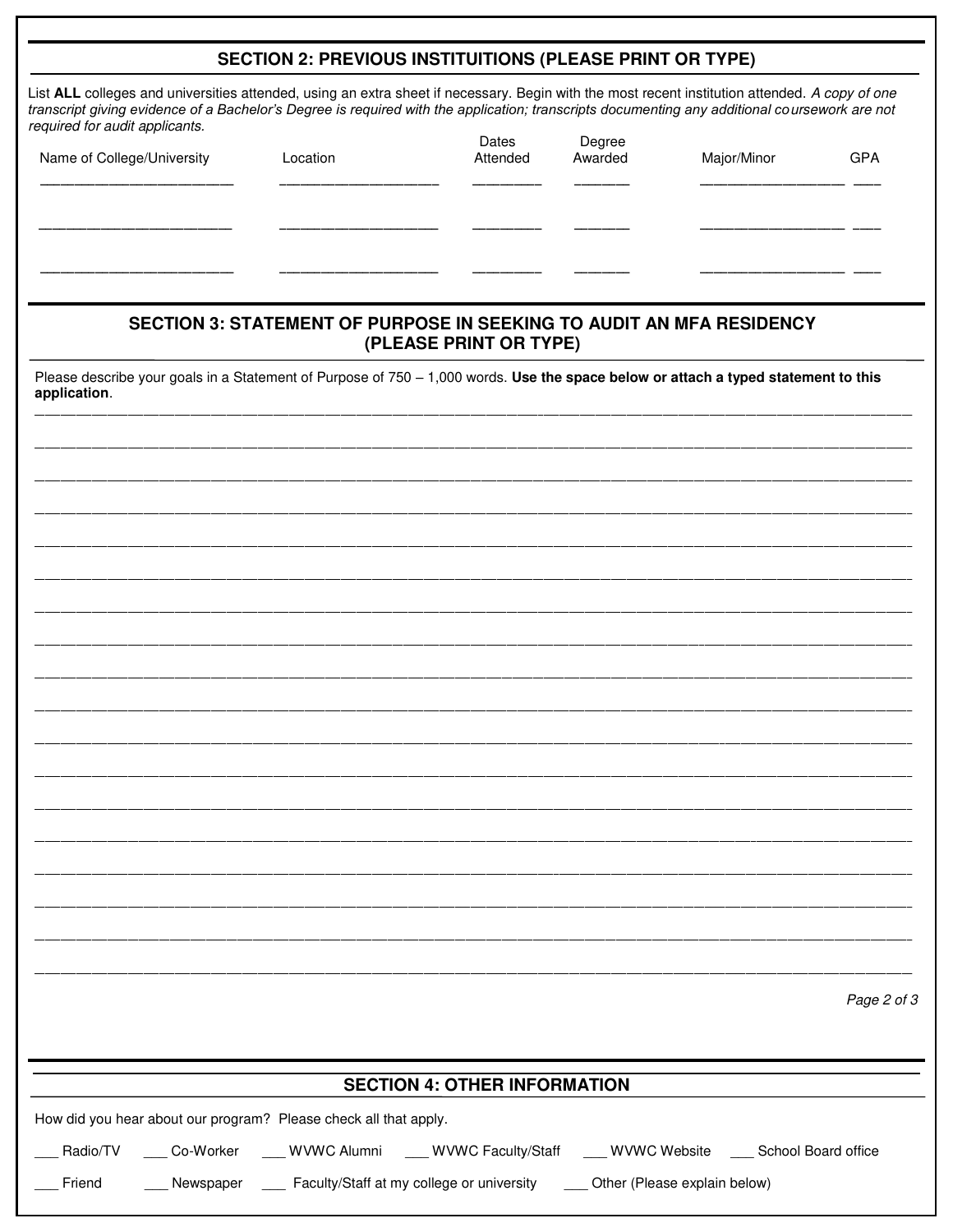| List ALL colleges and universities attended, using an extra sheet if necessary. Begin with the most recent institution attended. A copy of one<br>transcript giving evidence of a Bachelor's Degree is required with the application; transcripts documenting any additional coursework are not<br>required for audit applicants. |                                                                             |                                     |                   |             |             |  |  |
|-----------------------------------------------------------------------------------------------------------------------------------------------------------------------------------------------------------------------------------------------------------------------------------------------------------------------------------|-----------------------------------------------------------------------------|-------------------------------------|-------------------|-------------|-------------|--|--|
| Name of College/University                                                                                                                                                                                                                                                                                                        | Location                                                                    | Dates<br>Attended                   | Degree<br>Awarded | Major/Minor | <b>GPA</b>  |  |  |
|                                                                                                                                                                                                                                                                                                                                   |                                                                             |                                     |                   |             |             |  |  |
|                                                                                                                                                                                                                                                                                                                                   |                                                                             |                                     |                   |             |             |  |  |
|                                                                                                                                                                                                                                                                                                                                   |                                                                             |                                     |                   |             |             |  |  |
|                                                                                                                                                                                                                                                                                                                                   | <b>SECTION 3: STATEMENT OF PURPOSE IN SEEKING TO AUDIT AN MFA RESIDENCY</b> | (PLEASE PRINT OR TYPE)              |                   |             |             |  |  |
| Please describe your goals in a Statement of Purpose of 750 - 1,000 words. Use the space below or attach a typed statement to this                                                                                                                                                                                                |                                                                             |                                     |                   |             |             |  |  |
| application.                                                                                                                                                                                                                                                                                                                      |                                                                             |                                     |                   |             |             |  |  |
|                                                                                                                                                                                                                                                                                                                                   |                                                                             |                                     |                   |             |             |  |  |
|                                                                                                                                                                                                                                                                                                                                   |                                                                             |                                     |                   |             |             |  |  |
|                                                                                                                                                                                                                                                                                                                                   |                                                                             |                                     |                   |             |             |  |  |
|                                                                                                                                                                                                                                                                                                                                   |                                                                             |                                     |                   |             |             |  |  |
|                                                                                                                                                                                                                                                                                                                                   |                                                                             |                                     |                   |             |             |  |  |
|                                                                                                                                                                                                                                                                                                                                   |                                                                             |                                     |                   |             |             |  |  |
|                                                                                                                                                                                                                                                                                                                                   |                                                                             |                                     |                   |             |             |  |  |
|                                                                                                                                                                                                                                                                                                                                   |                                                                             |                                     |                   |             |             |  |  |
|                                                                                                                                                                                                                                                                                                                                   |                                                                             |                                     |                   |             |             |  |  |
|                                                                                                                                                                                                                                                                                                                                   |                                                                             |                                     |                   |             |             |  |  |
|                                                                                                                                                                                                                                                                                                                                   |                                                                             |                                     |                   |             |             |  |  |
|                                                                                                                                                                                                                                                                                                                                   |                                                                             |                                     |                   |             |             |  |  |
|                                                                                                                                                                                                                                                                                                                                   |                                                                             |                                     |                   |             |             |  |  |
|                                                                                                                                                                                                                                                                                                                                   |                                                                             |                                     |                   |             |             |  |  |
|                                                                                                                                                                                                                                                                                                                                   |                                                                             |                                     |                   |             |             |  |  |
|                                                                                                                                                                                                                                                                                                                                   |                                                                             |                                     |                   |             |             |  |  |
|                                                                                                                                                                                                                                                                                                                                   |                                                                             |                                     |                   |             |             |  |  |
|                                                                                                                                                                                                                                                                                                                                   |                                                                             |                                     |                   |             |             |  |  |
|                                                                                                                                                                                                                                                                                                                                   |                                                                             |                                     |                   |             |             |  |  |
|                                                                                                                                                                                                                                                                                                                                   |                                                                             |                                     |                   |             |             |  |  |
|                                                                                                                                                                                                                                                                                                                                   |                                                                             |                                     |                   |             |             |  |  |
|                                                                                                                                                                                                                                                                                                                                   |                                                                             |                                     |                   |             |             |  |  |
|                                                                                                                                                                                                                                                                                                                                   |                                                                             |                                     |                   |             |             |  |  |
|                                                                                                                                                                                                                                                                                                                                   |                                                                             |                                     |                   |             |             |  |  |
|                                                                                                                                                                                                                                                                                                                                   |                                                                             |                                     |                   |             | Page 2 of 3 |  |  |
|                                                                                                                                                                                                                                                                                                                                   |                                                                             |                                     |                   |             |             |  |  |
|                                                                                                                                                                                                                                                                                                                                   |                                                                             |                                     |                   |             |             |  |  |
| How did you hear about our program? Please check all that apply.                                                                                                                                                                                                                                                                  |                                                                             | <b>SECTION 4: OTHER INFORMATION</b> |                   |             |             |  |  |